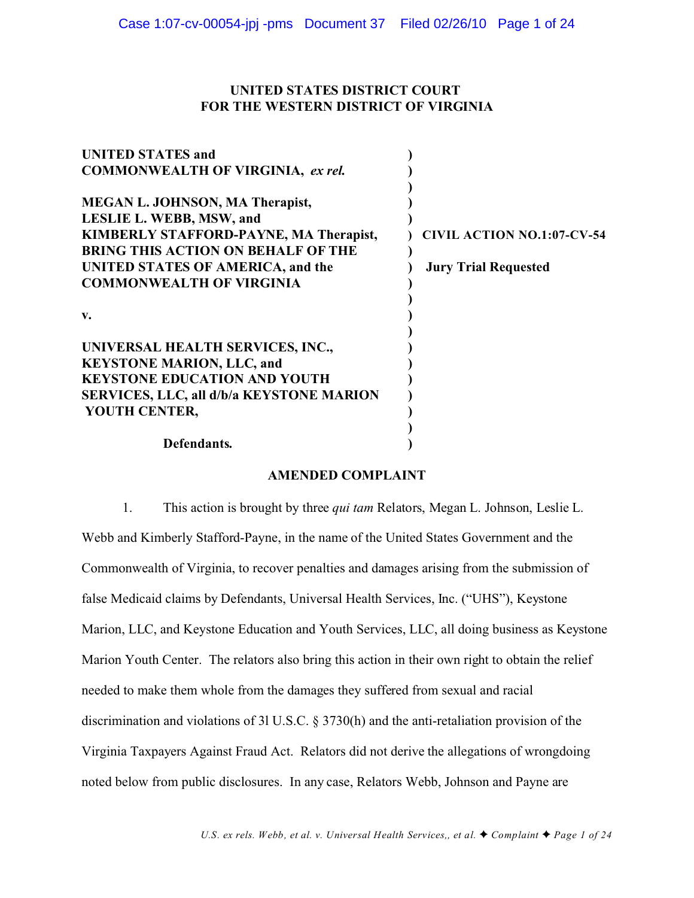# **UNITED STATES DISTRICT COURT FOR THE WESTERN DISTRICT OF VIRGINIA**

| <b>UNITED STATES and</b>                  |                                   |
|-------------------------------------------|-----------------------------------|
| <b>COMMONWEALTH OF VIRGINIA, ex rel.</b>  |                                   |
|                                           |                                   |
| <b>MEGAN L. JOHNSON, MA Therapist,</b>    |                                   |
| LESLIE L. WEBB, MSW, and                  |                                   |
| KIMBERLY STAFFORD-PAYNE, MA Therapist,    | <b>CIVIL ACTION NO.1:07-CV-54</b> |
| <b>BRING THIS ACTION ON BEHALF OF THE</b> |                                   |
| UNITED STATES OF AMERICA, and the         | <b>Jury Trial Requested</b>       |
| <b>COMMONWEALTH OF VIRGINIA</b>           |                                   |
|                                           |                                   |
| $V_{\bullet}$                             |                                   |
|                                           |                                   |
| UNIVERSAL HEALTH SERVICES, INC.,          |                                   |
| <b>KEYSTONE MARION, LLC, and</b>          |                                   |
| <b>KEYSTONE EDUCATION AND YOUTH</b>       |                                   |
| SERVICES, LLC, all d/b/a KEYSTONE MARION  |                                   |
| YOUTH CENTER,                             |                                   |
|                                           |                                   |
| Defendants.                               |                                   |
|                                           |                                   |

## **AMENDED COMPLAINT**

1. This action is brought by three *qui tam* Relators, Megan L. Johnson, Leslie L. Webb and Kimberly Stafford-Payne, in the name of the United States Government and the Commonwealth of Virginia, to recover penalties and damages arising from the submission of false Medicaid claims by Defendants, Universal Health Services, Inc. ("UHS"), Keystone Marion, LLC, and Keystone Education and Youth Services, LLC, all doing business as Keystone Marion Youth Center. The relators also bring this action in their own right to obtain the relief needed to make them whole from the damages they suffered from sexual and racial discrimination and violations of 3l U.S.C. § 3730(h) and the anti-retaliation provision of the Virginia Taxpayers Against Fraud Act. Relators did not derive the allegations of wrongdoing noted below from public disclosures. In any case, Relators Webb, Johnson and Payne are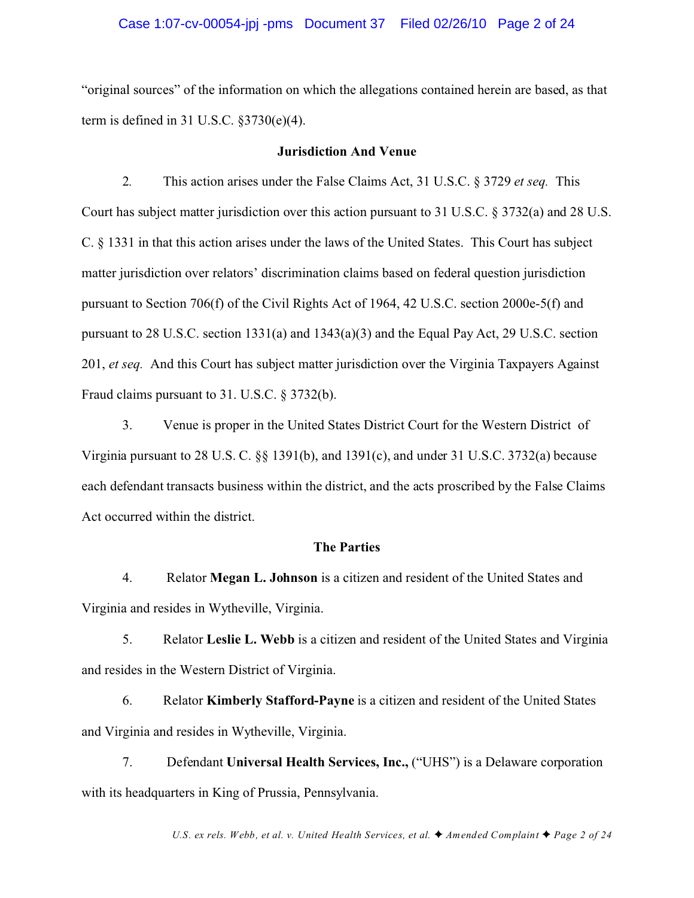#### Case 1:07-cv-00054-jpj -pms Document 37 Filed 02/26/10 Page 2 of 24

"original sources" of the information on which the allegations contained herein are based, as that term is defined in 31 U.S.C. §3730(e)(4).

#### **Jurisdiction And Venue**

2*.* This action arises under the False Claims Act, 31 U.S.C. § 3729 *et seq.* This Court has subject matter jurisdiction over this action pursuant to 31 U.S.C. § 3732(a) and 28 U.S. C. § 1331 in that this action arises under the laws of the United States. This Court has subject matter jurisdiction over relators' discrimination claims based on federal question jurisdiction pursuant to Section 706(f) of the Civil Rights Act of 1964, 42 U.S.C. section 2000e-5(f) and pursuant to 28 U.S.C. section 1331(a) and 1343(a)(3) and the Equal Pay Act, 29 U.S.C. section 201, *et seq.* And this Court has subject matter jurisdiction over the Virginia Taxpayers Against Fraud claims pursuant to 31. U.S.C. § 3732(b).

 3. Venue is proper in the United States District Court for the Western District of Virginia pursuant to 28 U.S. C. §§ 1391(b), and 1391(c), and under 31 U.S.C. 3732(a) because each defendant transacts business within the district, and the acts proscribed by the False Claims Act occurred within the district.

#### **The Parties**

4. Relator **Megan L. Johnson** is a citizen and resident of the United States and Virginia and resides in Wytheville, Virginia.

5. Relator **Leslie L. Webb** is a citizen and resident of the United States and Virginia and resides in the Western District of Virginia.

6. Relator **Kimberly Stafford-Payne** is a citizen and resident of the United States and Virginia and resides in Wytheville, Virginia.

7. Defendant **Universal Health Services, Inc.,** ("UHS") is a Delaware corporation with its headquarters in King of Prussia, Pennsylvania.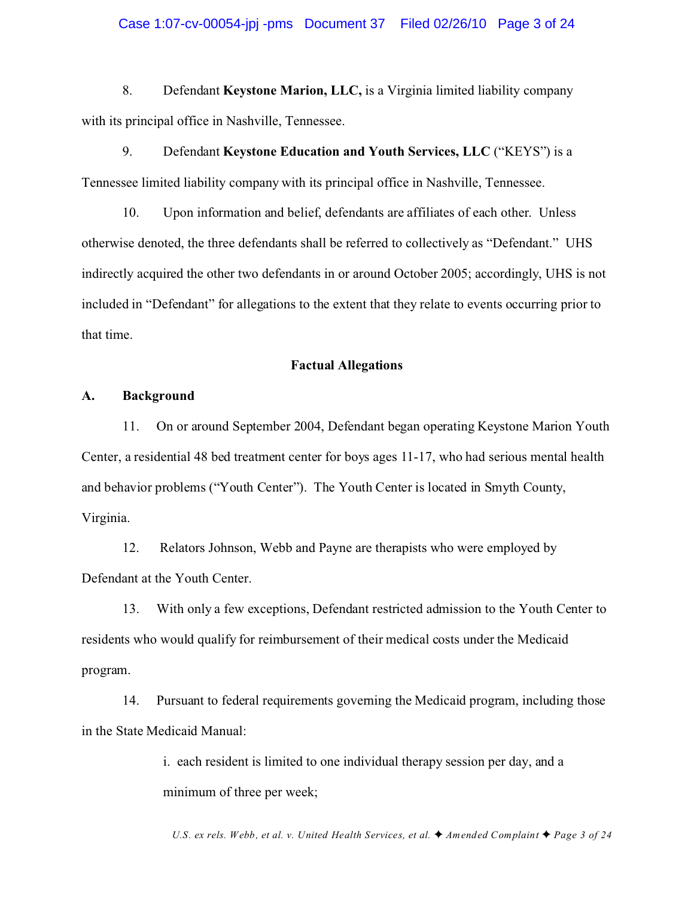#### Case 1:07-cv-00054-jpj -pms Document 37 Filed 02/26/10 Page 3 of 24

8. Defendant **Keystone Marion, LLC,** is a Virginia limited liability company with its principal office in Nashville, Tennessee.

9. Defendant **Keystone Education and Youth Services, LLC** ("KEYS") is a Tennessee limited liability company with its principal office in Nashville, Tennessee.

10. Upon information and belief, defendants are affiliates of each other. Unless otherwise denoted, the three defendants shall be referred to collectively as "Defendant." UHS indirectly acquired the other two defendants in or around October 2005; accordingly, UHS is not included in "Defendant" for allegations to the extent that they relate to events occurring prior to that time.

#### **Factual Allegations**

#### **A. Background**

11. On or around September 2004, Defendant began operating Keystone Marion Youth Center, a residential 48 bed treatment center for boys ages 11-17, who had serious mental health and behavior problems ("Youth Center"). The Youth Center is located in Smyth County, Virginia.

12. Relators Johnson, Webb and Payne are therapists who were employed by Defendant at the Youth Center.

13. With only a few exceptions, Defendant restricted admission to the Youth Center to residents who would qualify for reimbursement of their medical costs under the Medicaid program.

14. Pursuant to federal requirements governing the Medicaid program, including those in the State Medicaid Manual:

> i. each resident is limited to one individual therapy session per day, and a minimum of three per week;

*U.S. ex rels. Webb, et al. v. United Health Services, et al.*  $\blacklozenge$  Amended Complaint  $\blacklozenge$  Page 3 of 24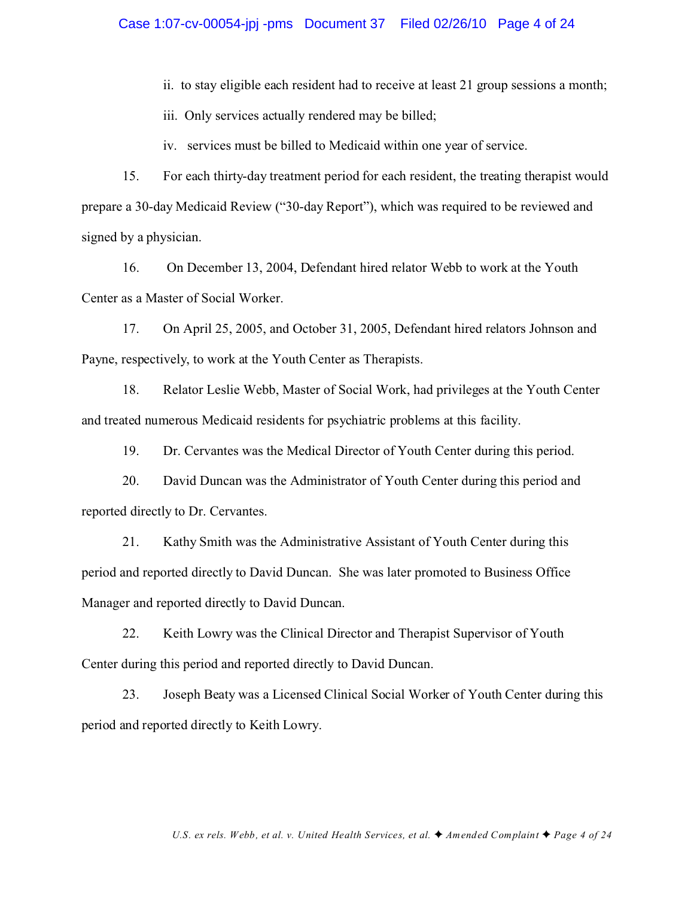ii. to stay eligible each resident had to receive at least 21 group sessions a month;

iii. Only services actually rendered may be billed;

iv. services must be billed to Medicaid within one year of service.

15. For each thirty-day treatment period for each resident, the treating therapist would prepare a 30-day Medicaid Review ("30-day Report"), which was required to be reviewed and signed by a physician.

16. On December 13, 2004, Defendant hired relator Webb to work at the Youth Center as a Master of Social Worker.

17. On April 25, 2005, and October 31, 2005, Defendant hired relators Johnson and Payne, respectively, to work at the Youth Center as Therapists.

18. Relator Leslie Webb, Master of Social Work, had privileges at the Youth Center and treated numerous Medicaid residents for psychiatric problems at this facility.

19. Dr. Cervantes was the Medical Director of Youth Center during this period.

20. David Duncan was the Administrator of Youth Center during this period and reported directly to Dr. Cervantes.

21. Kathy Smith was the Administrative Assistant of Youth Center during this period and reported directly to David Duncan. She was later promoted to Business Office Manager and reported directly to David Duncan.

22. Keith Lowry was the Clinical Director and Therapist Supervisor of Youth Center during this period and reported directly to David Duncan.

23. Joseph Beaty was a Licensed Clinical Social Worker of Youth Center during this period and reported directly to Keith Lowry.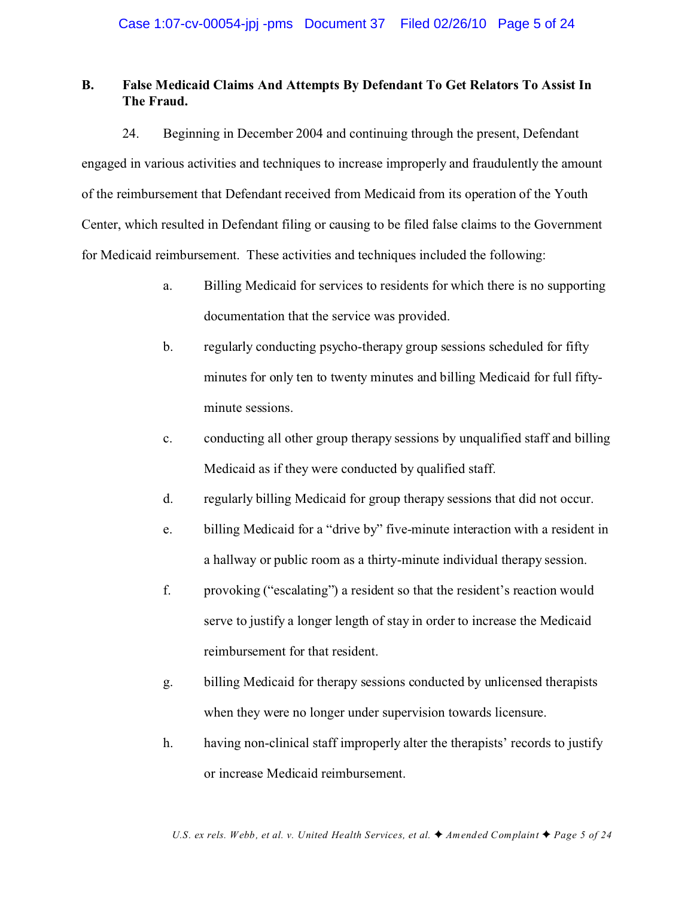# **B. False Medicaid Claims And Attempts By Defendant To Get Relators To Assist In The Fraud.**

24. Beginning in December 2004 and continuing through the present, Defendant engaged in various activities and techniques to increase improperly and fraudulently the amount of the reimbursement that Defendant received from Medicaid from its operation of the Youth Center, which resulted in Defendant filing or causing to be filed false claims to the Government for Medicaid reimbursement. These activities and techniques included the following:

- a. Billing Medicaid for services to residents for which there is no supporting documentation that the service was provided.
- b. regularly conducting psycho-therapy group sessions scheduled for fifty minutes for only ten to twenty minutes and billing Medicaid for full fiftyminute sessions.
- c. conducting all other group therapy sessions by unqualified staff and billing Medicaid as if they were conducted by qualified staff.
- d. regularly billing Medicaid for group therapy sessions that did not occur.
- e. billing Medicaid for a "drive by" five-minute interaction with a resident in a hallway or public room as a thirty-minute individual therapy session.
- f. provoking ("escalating") a resident so that the resident's reaction would serve to justify a longer length of stay in order to increase the Medicaid reimbursement for that resident.
- g. billing Medicaid for therapy sessions conducted by unlicensed therapists when they were no longer under supervision towards licensure.
- h. having non-clinical staff improperly alter the therapists' records to justify or increase Medicaid reimbursement.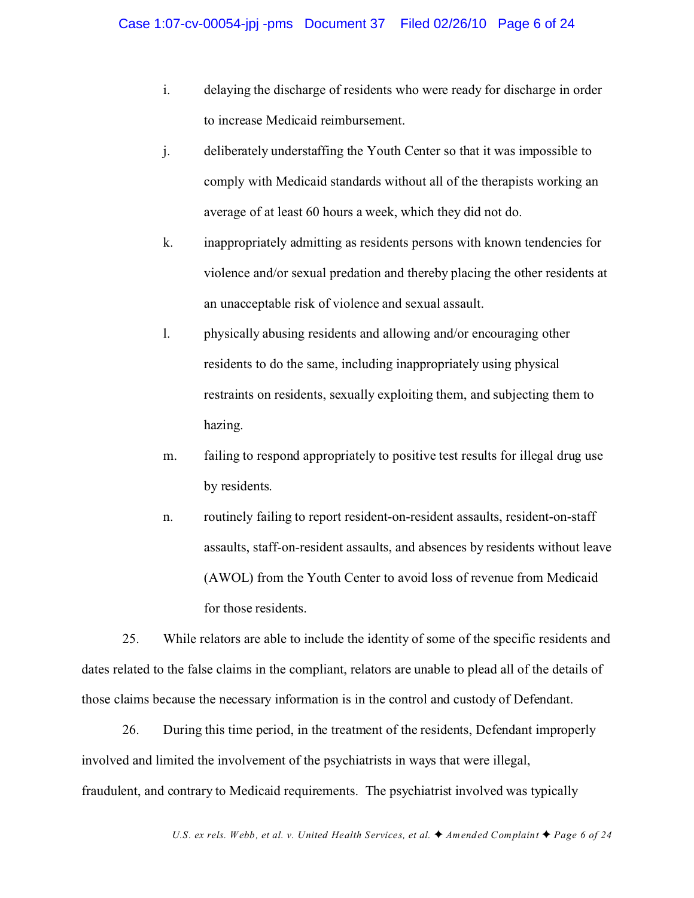- i. delaying the discharge of residents who were ready for discharge in order to increase Medicaid reimbursement.
- j. deliberately understaffing the Youth Center so that it was impossible to comply with Medicaid standards without all of the therapists working an average of at least 60 hours a week, which they did not do.
- k. inappropriately admitting as residents persons with known tendencies for violence and/or sexual predation and thereby placing the other residents at an unacceptable risk of violence and sexual assault.
- l. physically abusing residents and allowing and/or encouraging other residents to do the same, including inappropriately using physical restraints on residents, sexually exploiting them, and subjecting them to hazing.
- m. failing to respond appropriately to positive test results for illegal drug use by residents.
- n. routinely failing to report resident-on-resident assaults, resident-on-staff assaults, staff-on-resident assaults, and absences by residents without leave (AWOL) from the Youth Center to avoid loss of revenue from Medicaid for those residents.

25. While relators are able to include the identity of some of the specific residents and dates related to the false claims in the compliant, relators are unable to plead all of the details of those claims because the necessary information is in the control and custody of Defendant.

26. During this time period, in the treatment of the residents, Defendant improperly involved and limited the involvement of the psychiatrists in ways that were illegal, fraudulent, and contrary to Medicaid requirements. The psychiatrist involved was typically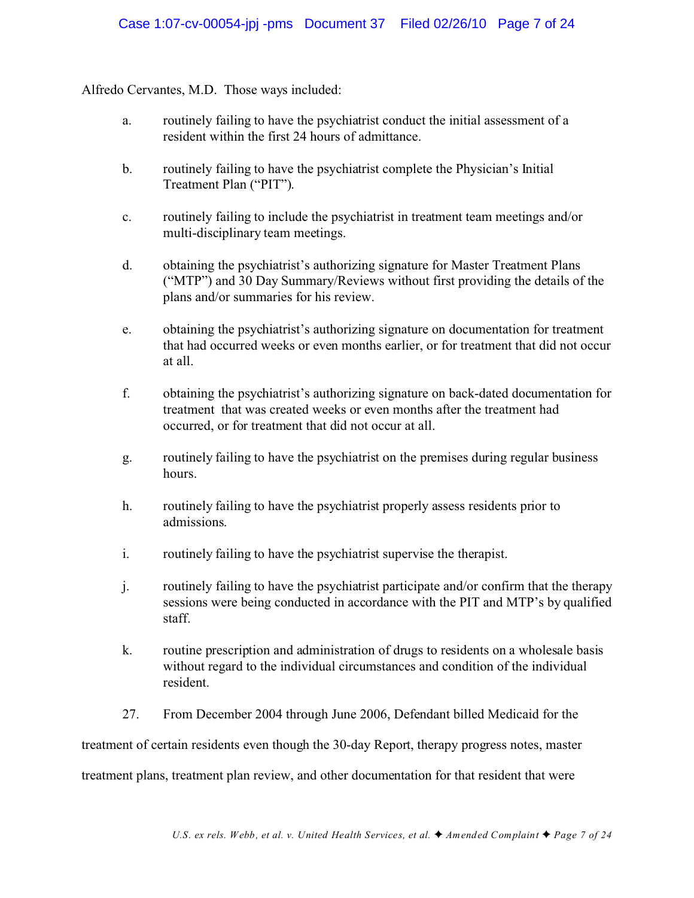Alfredo Cervantes, M.D. Those ways included:

- a. routinely failing to have the psychiatrist conduct the initial assessment of a resident within the first 24 hours of admittance.
- b. routinely failing to have the psychiatrist complete the Physician's Initial Treatment Plan ("PIT").
- c. routinely failing to include the psychiatrist in treatment team meetings and/or multi-disciplinary team meetings.
- d. obtaining the psychiatrist's authorizing signature for Master Treatment Plans ("MTP") and 30 Day Summary/Reviews without first providing the details of the plans and/or summaries for his review.
- e. obtaining the psychiatrist's authorizing signature on documentation for treatment that had occurred weeks or even months earlier, or for treatment that did not occur at all.
- f. obtaining the psychiatrist's authorizing signature on back-dated documentation for treatment that was created weeks or even months after the treatment had occurred, or for treatment that did not occur at all.
- g. routinely failing to have the psychiatrist on the premises during regular business hours.
- h. routinely failing to have the psychiatrist properly assess residents prior to admissions.
- i. routinely failing to have the psychiatrist supervise the therapist.
- j. routinely failing to have the psychiatrist participate and/or confirm that the therapy sessions were being conducted in accordance with the PIT and MTP's by qualified staff.
- k. routine prescription and administration of drugs to residents on a wholesale basis without regard to the individual circumstances and condition of the individual resident.
- 27. From December 2004 through June 2006, Defendant billed Medicaid for the

treatment of certain residents even though the 30-day Report, therapy progress notes, master

treatment plans, treatment plan review, and other documentation for that resident that were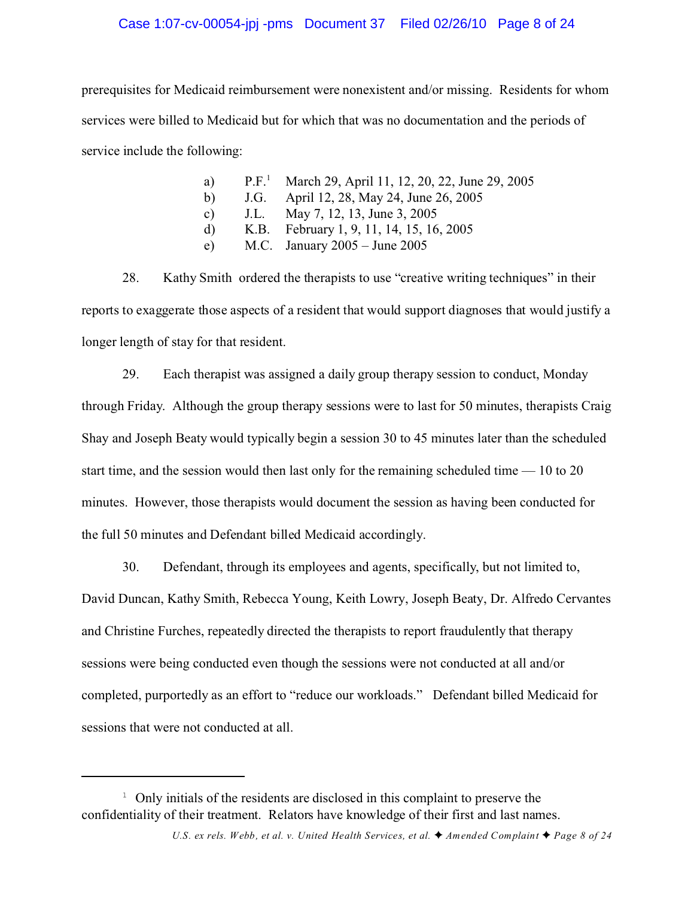## Case 1:07-cv-00054-jpj -pms Document 37 Filed 02/26/10 Page 8 of 24

prerequisites for Medicaid reimbursement were nonexistent and/or missing. Residents for whom services were billed to Medicaid but for which that was no documentation and the periods of service include the following:

| a) | P.F. <sup>1</sup> March 29, April 11, 12, 20, 22, June 29, 2005 |
|----|-----------------------------------------------------------------|
| b) | J.G. April 12, 28, May 24, June 26, 2005                        |
| c) | J.L. May 7, 12, 13, June 3, 2005                                |
| d) | K.B. February 1, 9, 11, 14, 15, 16, 2005                        |
| e) | M.C. January $2005 -$ June $2005$                               |
|    |                                                                 |

28. Kathy Smith ordered the therapists to use "creative writing techniques" in their reports to exaggerate those aspects of a resident that would support diagnoses that would justify a longer length of stay for that resident.

29. Each therapist was assigned a daily group therapy session to conduct, Monday through Friday. Although the group therapy sessions were to last for 50 minutes, therapists Craig Shay and Joseph Beaty would typically begin a session 30 to 45 minutes later than the scheduled start time, and the session would then last only for the remaining scheduled time — 10 to 20 minutes. However, those therapists would document the session as having been conducted for the full 50 minutes and Defendant billed Medicaid accordingly.

30. Defendant, through its employees and agents, specifically, but not limited to, David Duncan, Kathy Smith, Rebecca Young, Keith Lowry, Joseph Beaty, Dr. Alfredo Cervantes and Christine Furches, repeatedly directed the therapists to report fraudulently that therapy sessions were being conducted even though the sessions were not conducted at all and/or completed, purportedly as an effort to "reduce our workloads." Defendant billed Medicaid for sessions that were not conducted at all.

 $1$  Only initials of the residents are disclosed in this complaint to preserve the confidentiality of their treatment. Relators have knowledge of their first and last names.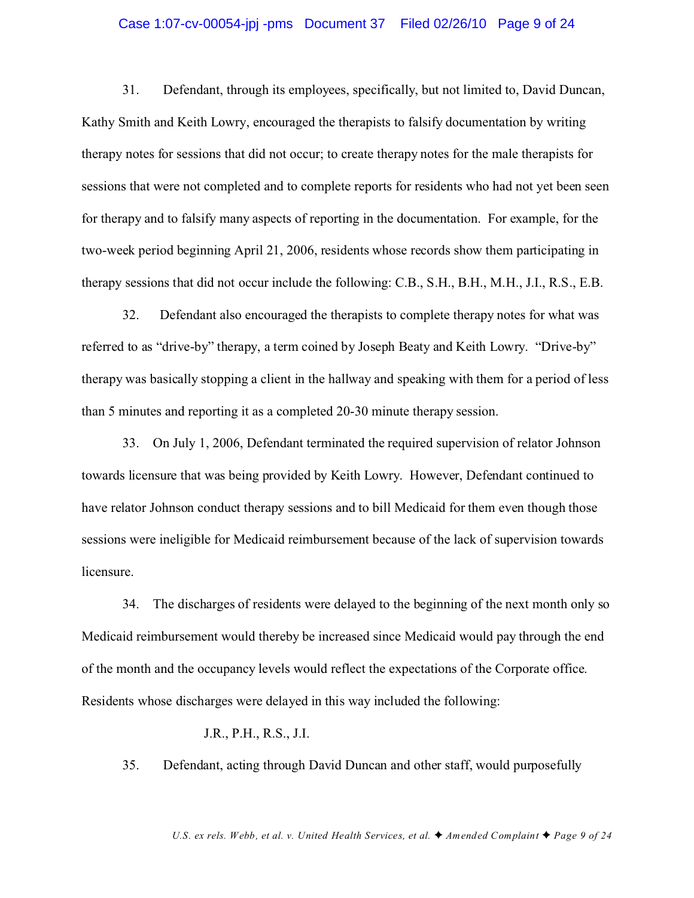#### Case 1:07-cv-00054-jpj -pms Document 37 Filed 02/26/10 Page 9 of 24

31. Defendant, through its employees, specifically, but not limited to, David Duncan, Kathy Smith and Keith Lowry, encouraged the therapists to falsify documentation by writing therapy notes for sessions that did not occur; to create therapy notes for the male therapists for sessions that were not completed and to complete reports for residents who had not yet been seen for therapy and to falsify many aspects of reporting in the documentation. For example, for the two-week period beginning April 21, 2006, residents whose records show them participating in therapy sessions that did not occur include the following: C.B., S.H., B.H., M.H., J.I., R.S., E.B.

32. Defendant also encouraged the therapists to complete therapy notes for what was referred to as "drive-by" therapy, a term coined by Joseph Beaty and Keith Lowry. "Drive-by" therapy was basically stopping a client in the hallway and speaking with them for a period of less than 5 minutes and reporting it as a completed 20-30 minute therapy session.

33. On July 1, 2006, Defendant terminated the required supervision of relator Johnson towards licensure that was being provided by Keith Lowry. However, Defendant continued to have relator Johnson conduct therapy sessions and to bill Medicaid for them even though those sessions were ineligible for Medicaid reimbursement because of the lack of supervision towards licensure.

34. The discharges of residents were delayed to the beginning of the next month only so Medicaid reimbursement would thereby be increased since Medicaid would pay through the end of the month and the occupancy levels would reflect the expectations of the Corporate office. Residents whose discharges were delayed in this way included the following:

#### J.R., P.H., R.S., J.I.

35. Defendant, acting through David Duncan and other staff, would purposefully

*U.S. ex rels. Webb, et al. v. United Health Services, et al.*  $\blacklozenge$  Amended Complaint  $\blacklozenge$  Page 9 of 24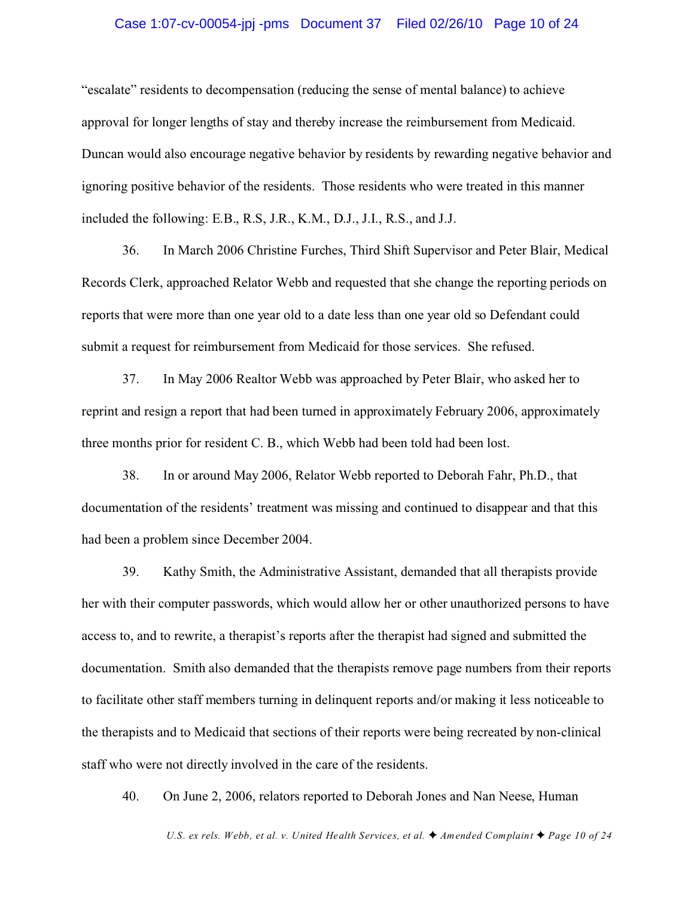#### Case 1:07-cv-00054-jpj -pms Document 37 Filed 02/26/10 Page 10 of 24

"escalate" residents to decompensation (reducing the sense of mental balance) to achieve approval for longer lengths of stay and thereby increase the reimbursement from Medicaid. Duncan would also encourage negative behavior by residents by rewarding negative behavior and ignoring positive behavior of the residents. Those residents who were treated in this manner included the following: E.B., R.S, J.R., K.M., D.J., J.I., R.S., and J.J.

36. In March 2006 Christine Furches, Third Shift Supervisor and Peter Blair, Medical Records Clerk, approached Relator Webb and requested that she change the reporting periods on reports that were more than one year old to a date less than one year old so Defendant could submit a request for reimbursement from Medicaid for those services. She refused.

37. In May 2006 Realtor Webb was approached by Peter Blair, who asked her to reprint and resign a report that had been turned in approximately February 2006, approximately three months prior for resident C. B., which Webb had been told had been lost.

38. In or around May 2006, Relator Webb reported to Deborah Fahr, Ph.D., that documentation of the residents' treatment was missing and continued to disappear and that this had been a problem since December 2004.

39. Kathy Smith, the Administrative Assistant, demanded that all therapists provide her with their computer passwords, which would allow her or other unauthorized persons to have access to, and to rewrite, a therapist's reports after the therapist had signed and submitted the documentation. Smith also demanded that the therapists remove page numbers from their reports to facilitate other staff members turning in delinquent reports and/or making it less noticeable to the therapists and to Medicaid that sections of their reports were being recreated by non-clinical staff who were not directly involved in the care of the residents.

40. On June 2, 2006, relators reported to Deborah Jones and Nan Neese, Human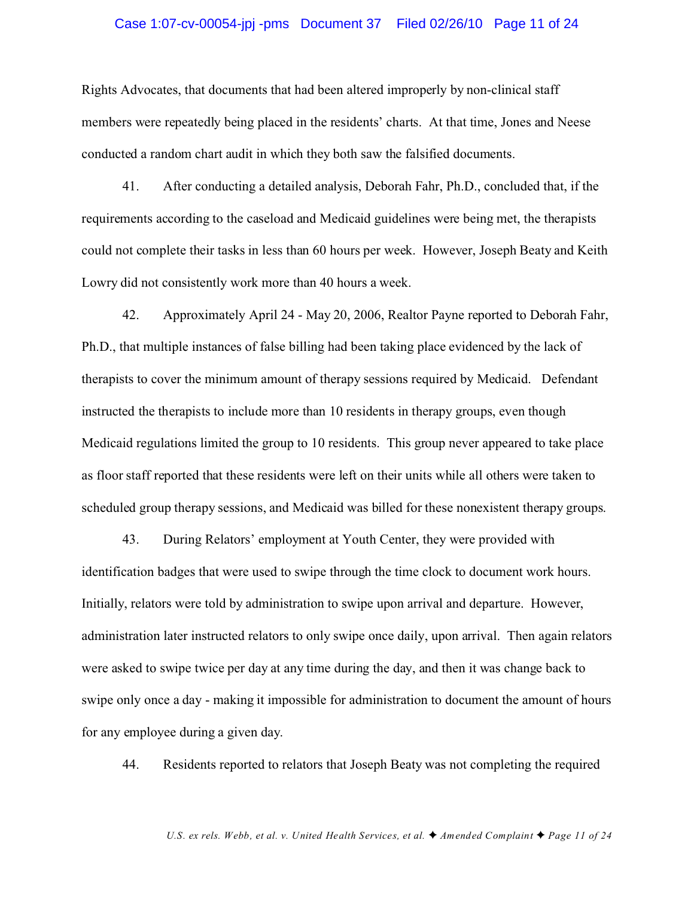#### Case 1:07-cv-00054-jpj -pms Document 37 Filed 02/26/10 Page 11 of 24

Rights Advocates, that documents that had been altered improperly by non-clinical staff members were repeatedly being placed in the residents' charts. At that time, Jones and Neese conducted a random chart audit in which they both saw the falsified documents.

41. After conducting a detailed analysis, Deborah Fahr, Ph.D., concluded that, if the requirements according to the caseload and Medicaid guidelines were being met, the therapists could not complete their tasks in less than 60 hours per week. However, Joseph Beaty and Keith Lowry did not consistently work more than 40 hours a week.

42. Approximately April 24 - May 20, 2006, Realtor Payne reported to Deborah Fahr, Ph.D., that multiple instances of false billing had been taking place evidenced by the lack of therapists to cover the minimum amount of therapy sessions required by Medicaid. Defendant instructed the therapists to include more than 10 residents in therapy groups, even though Medicaid regulations limited the group to 10 residents. This group never appeared to take place as floor staff reported that these residents were left on their units while all others were taken to scheduled group therapy sessions, and Medicaid was billed for these nonexistent therapy groups.

43. During Relators' employment at Youth Center, they were provided with identification badges that were used to swipe through the time clock to document work hours. Initially, relators were told by administration to swipe upon arrival and departure. However, administration later instructed relators to only swipe once daily, upon arrival. Then again relators were asked to swipe twice per day at any time during the day, and then it was change back to swipe only once a day - making it impossible for administration to document the amount of hours for any employee during a given day.

44. Residents reported to relators that Joseph Beaty was not completing the required

*U.S. ex rels. Webb, et al. v. United Health Services, et al.*  $\blacklozenge$  *Amended Complaint*  $\blacklozenge$  *Page 11 of 24*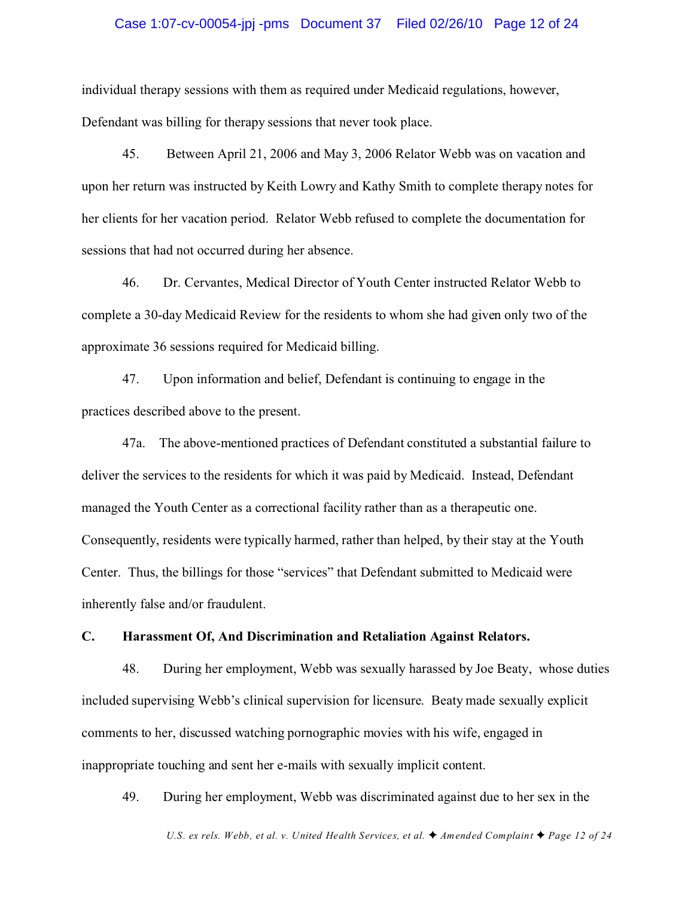#### Case 1:07-cv-00054-jpj -pms Document 37 Filed 02/26/10 Page 12 of 24

individual therapy sessions with them as required under Medicaid regulations, however, Defendant was billing for therapy sessions that never took place.

45. Between April 21, 2006 and May 3, 2006 Relator Webb was on vacation and upon her return was instructed by Keith Lowry and Kathy Smith to complete therapy notes for her clients for her vacation period. Relator Webb refused to complete the documentation for sessions that had not occurred during her absence.

46. Dr. Cervantes, Medical Director of Youth Center instructed Relator Webb to complete a 30-day Medicaid Review for the residents to whom she had given only two of the approximate 36 sessions required for Medicaid billing.

47. Upon information and belief, Defendant is continuing to engage in the practices described above to the present.

47a. The above-mentioned practices of Defendant constituted a substantial failure to deliver the services to the residents for which it was paid by Medicaid. Instead, Defendant managed the Youth Center as a correctional facility rather than as a therapeutic one. Consequently, residents were typically harmed, rather than helped, by their stay at the Youth Center. Thus, the billings for those "services" that Defendant submitted to Medicaid were inherently false and/or fraudulent.

### **C. Harassment Of, And Discrimination and Retaliation Against Relators.**

48. During her employment, Webb was sexually harassed by Joe Beaty, whose duties included supervising Webb's clinical supervision for licensure. Beaty made sexually explicit comments to her, discussed watching pornographic movies with his wife, engaged in inappropriate touching and sent her e-mails with sexually implicit content.

49. During her employment, Webb was discriminated against due to her sex in the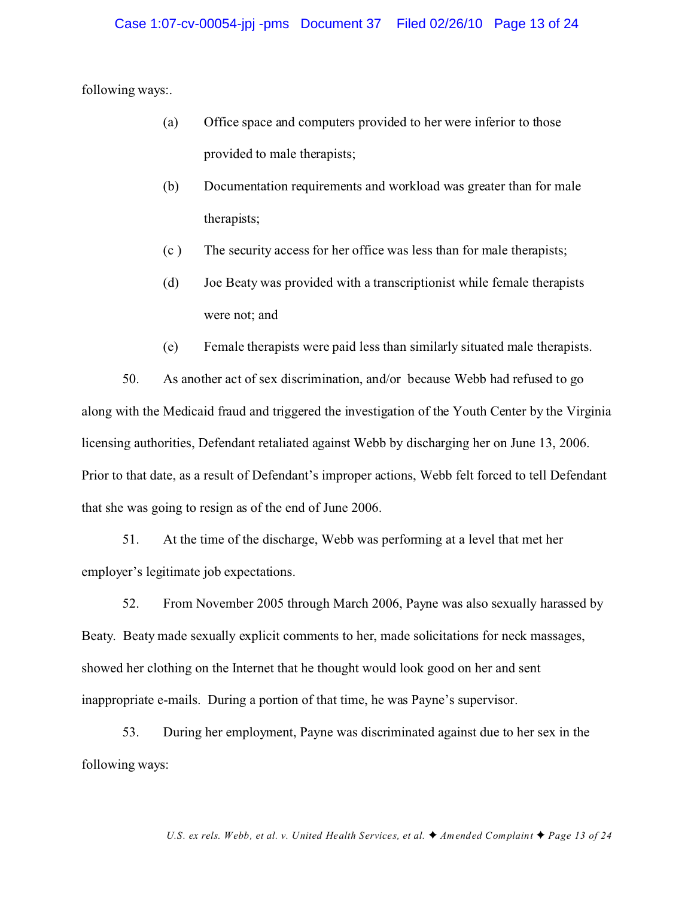following ways:.

- (a) Office space and computers provided to her were inferior to those provided to male therapists;
- (b) Documentation requirements and workload was greater than for male therapists;
- (c ) The security access for her office was less than for male therapists;
- (d) Joe Beaty was provided with a transcriptionist while female therapists were not; and
- (e) Female therapists were paid less than similarly situated male therapists.

50. As another act of sex discrimination, and/or because Webb had refused to go along with the Medicaid fraud and triggered the investigation of the Youth Center by the Virginia licensing authorities, Defendant retaliated against Webb by discharging her on June 13, 2006. Prior to that date, as a result of Defendant's improper actions, Webb felt forced to tell Defendant that she was going to resign as of the end of June 2006.

51. At the time of the discharge, Webb was performing at a level that met her employer's legitimate job expectations.

52. From November 2005 through March 2006, Payne was also sexually harassed by Beaty. Beaty made sexually explicit comments to her, made solicitations for neck massages, showed her clothing on the Internet that he thought would look good on her and sent inappropriate e-mails. During a portion of that time, he was Payne's supervisor.

53. During her employment, Payne was discriminated against due to her sex in the following ways: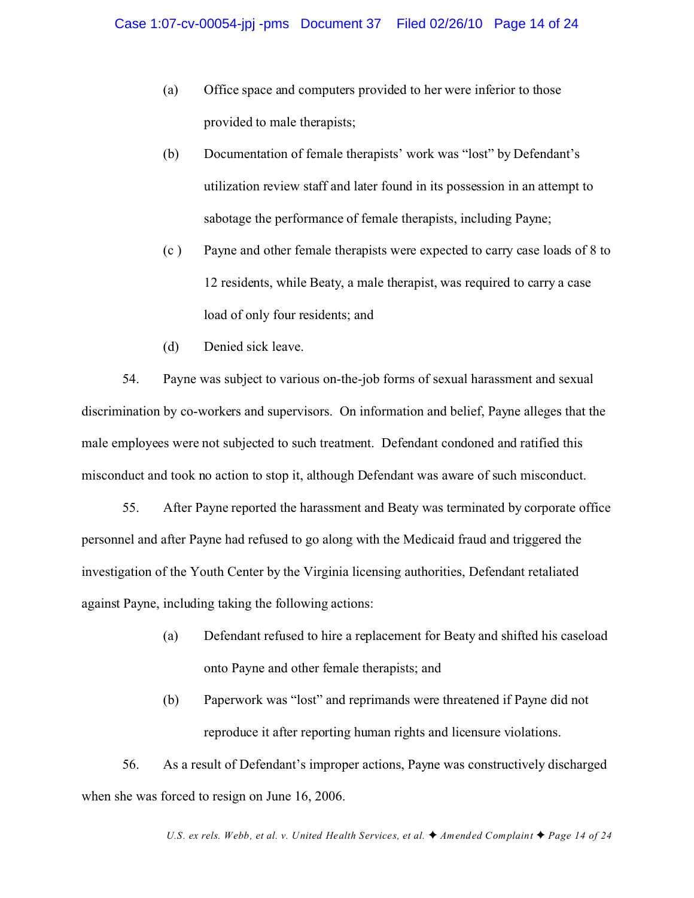- (a) Office space and computers provided to her were inferior to those provided to male therapists;
- (b) Documentation of female therapists' work was "lost" by Defendant's utilization review staff and later found in its possession in an attempt to sabotage the performance of female therapists, including Payne;
- (c ) Payne and other female therapists were expected to carry case loads of 8 to 12 residents, while Beaty, a male therapist, was required to carry a case load of only four residents; and
- (d) Denied sick leave.

54. Payne was subject to various on-the-job forms of sexual harassment and sexual discrimination by co-workers and supervisors. On information and belief, Payne alleges that the male employees were not subjected to such treatment. Defendant condoned and ratified this misconduct and took no action to stop it, although Defendant was aware of such misconduct.

55. After Payne reported the harassment and Beaty was terminated by corporate office personnel and after Payne had refused to go along with the Medicaid fraud and triggered the investigation of the Youth Center by the Virginia licensing authorities, Defendant retaliated against Payne, including taking the following actions:

- (a) Defendant refused to hire a replacement for Beaty and shifted his caseload onto Payne and other female therapists; and
- (b) Paperwork was "lost" and reprimands were threatened if Payne did not reproduce it after reporting human rights and licensure violations.

56. As a result of Defendant's improper actions, Payne was constructively discharged when she was forced to resign on June 16, 2006.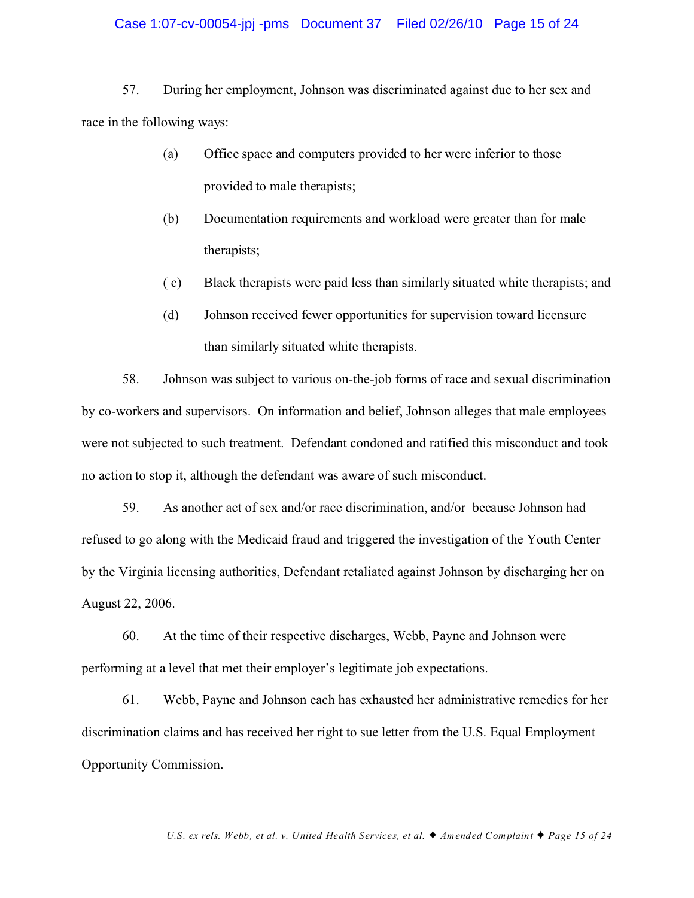#### Case 1:07-cv-00054-jpj -pms Document 37 Filed 02/26/10 Page 15 of 24

57. During her employment, Johnson was discriminated against due to her sex and race in the following ways:

- (a) Office space and computers provided to her were inferior to those provided to male therapists;
- (b) Documentation requirements and workload were greater than for male therapists;
- ( c) Black therapists were paid less than similarly situated white therapists; and
- (d) Johnson received fewer opportunities for supervision toward licensure than similarly situated white therapists.

58. Johnson was subject to various on-the-job forms of race and sexual discrimination by co-workers and supervisors. On information and belief, Johnson alleges that male employees were not subjected to such treatment. Defendant condoned and ratified this misconduct and took no action to stop it, although the defendant was aware of such misconduct.

59. As another act of sex and/or race discrimination, and/or because Johnson had refused to go along with the Medicaid fraud and triggered the investigation of the Youth Center by the Virginia licensing authorities, Defendant retaliated against Johnson by discharging her on August 22, 2006.

60. At the time of their respective discharges, Webb, Payne and Johnson were performing at a level that met their employer's legitimate job expectations.

61. Webb, Payne and Johnson each has exhausted her administrative remedies for her discrimination claims and has received her right to sue letter from the U.S. Equal Employment Opportunity Commission.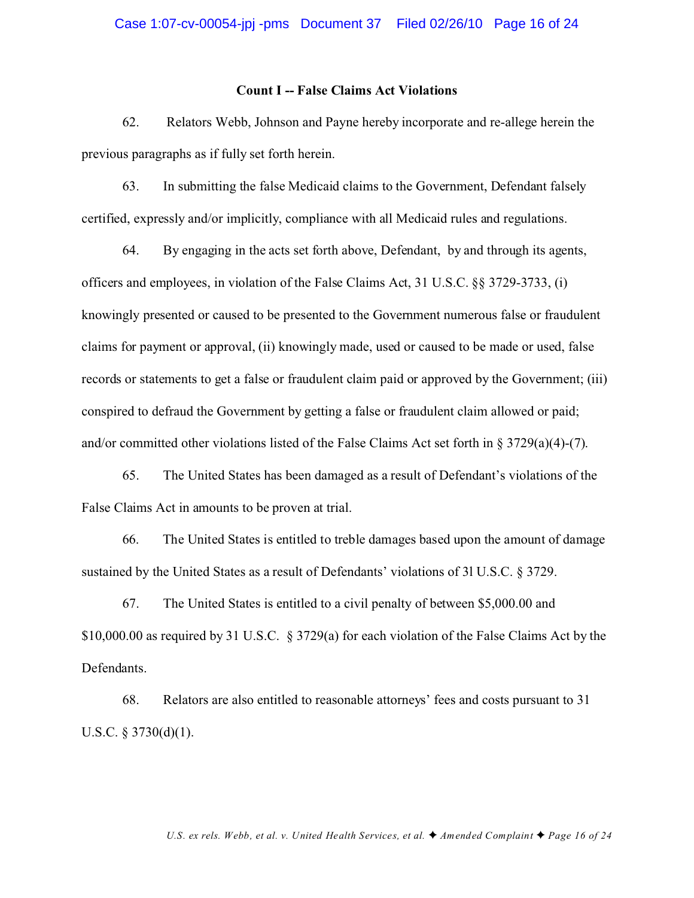#### **Count I -- False Claims Act Violations**

62. Relators Webb, Johnson and Payne hereby incorporate and re-allege herein the previous paragraphs as if fully set forth herein.

63. In submitting the false Medicaid claims to the Government, Defendant falsely certified, expressly and/or implicitly, compliance with all Medicaid rules and regulations.

64. By engaging in the acts set forth above, Defendant, by and through its agents, officers and employees, in violation of the False Claims Act, 31 U.S.C. §§ 3729-3733, (i) knowingly presented or caused to be presented to the Government numerous false or fraudulent claims for payment or approval, (ii) knowingly made, used or caused to be made or used, false records or statements to get a false or fraudulent claim paid or approved by the Government; (iii) conspired to defraud the Government by getting a false or fraudulent claim allowed or paid; and/or committed other violations listed of the False Claims Act set forth in § 3729(a)(4)-(7).

65. The United States has been damaged as a result of Defendant's violations of the False Claims Act in amounts to be proven at trial.

66. The United States is entitled to treble damages based upon the amount of damage sustained by the United States as a result of Defendants' violations of 3l U.S.C. § 3729.

67. The United States is entitled to a civil penalty of between \$5,000.00 and \$10,000.00 as required by 31 U.S.C. § 3729(a) for each violation of the False Claims Act by the Defendants.

68. Relators are also entitled to reasonable attorneys' fees and costs pursuant to 31 U.S.C. § 3730(d)(1).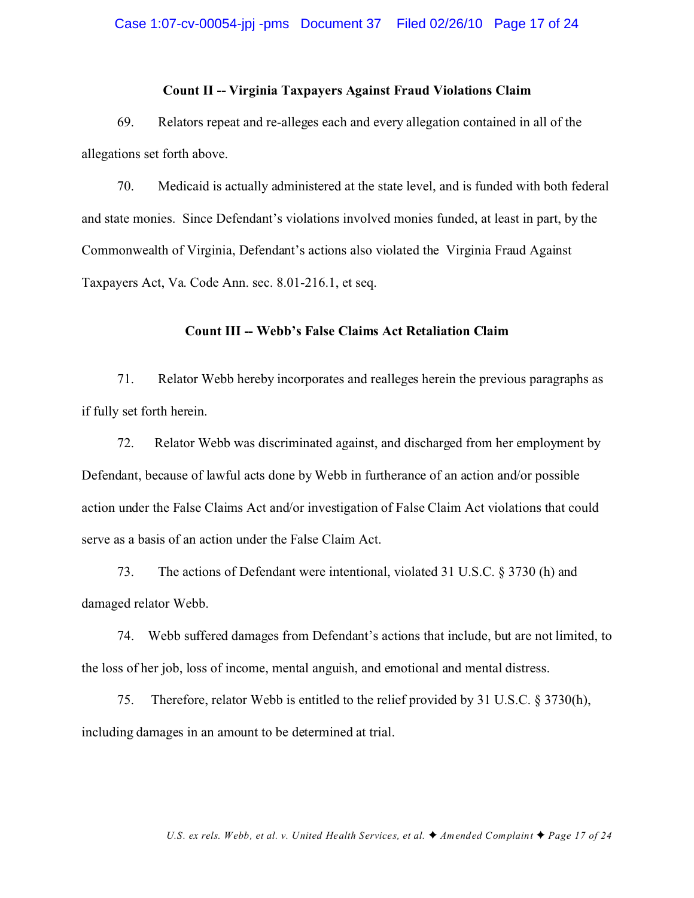#### **Count II -- Virginia Taxpayers Against Fraud Violations Claim**

69. Relators repeat and re-alleges each and every allegation contained in all of the allegations set forth above.

70. Medicaid is actually administered at the state level, and is funded with both federal and state monies. Since Defendant's violations involved monies funded, at least in part, by the Commonwealth of Virginia, Defendant's actions also violated the Virginia Fraud Against Taxpayers Act, Va. Code Ann. sec. 8.01-216.1, et seq.

## **Count III -- Webb's False Claims Act Retaliation Claim**

71. Relator Webb hereby incorporates and realleges herein the previous paragraphs as if fully set forth herein.

72. Relator Webb was discriminated against, and discharged from her employment by Defendant, because of lawful acts done by Webb in furtherance of an action and/or possible action under the False Claims Act and/or investigation of False Claim Act violations that could serve as a basis of an action under the False Claim Act.

73. The actions of Defendant were intentional, violated 31 U.S.C. § 3730 (h) and damaged relator Webb.

74. Webb suffered damages from Defendant's actions that include, but are not limited, to the loss of her job, loss of income, mental anguish, and emotional and mental distress.

75. Therefore, relator Webb is entitled to the relief provided by 31 U.S.C. § 3730(h), including damages in an amount to be determined at trial.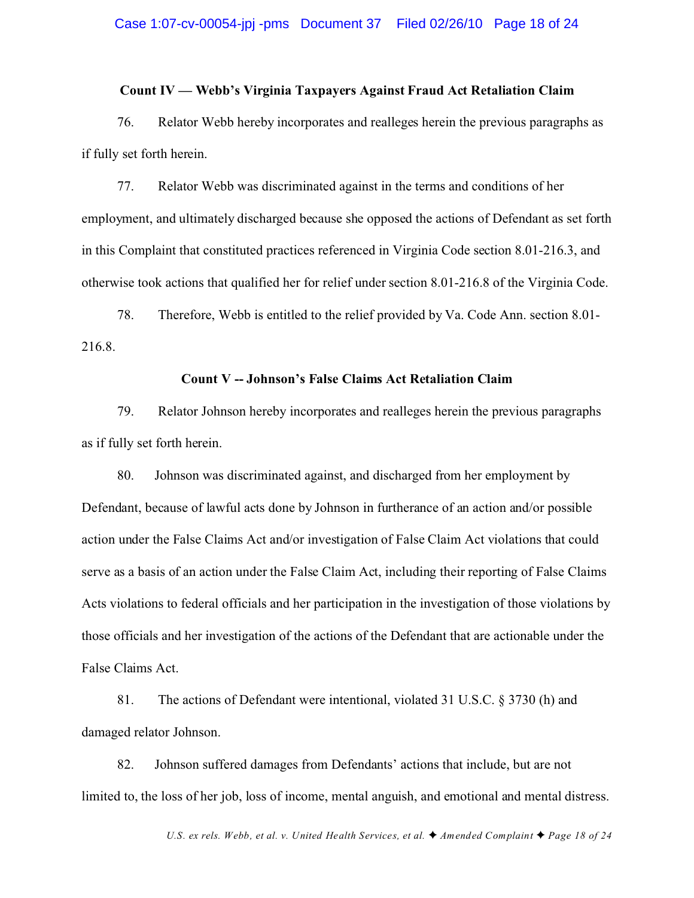#### **Count IV — Webb's Virginia Taxpayers Against Fraud Act Retaliation Claim**

76. Relator Webb hereby incorporates and realleges herein the previous paragraphs as if fully set forth herein.

77. Relator Webb was discriminated against in the terms and conditions of her employment, and ultimately discharged because she opposed the actions of Defendant as set forth in this Complaint that constituted practices referenced in Virginia Code section 8.01-216.3, and otherwise took actions that qualified her for relief under section 8.01-216.8 of the Virginia Code.

78. Therefore, Webb is entitled to the relief provided by Va. Code Ann. section 8.01- 216.8.

#### **Count V -- Johnson's False Claims Act Retaliation Claim**

79. Relator Johnson hereby incorporates and realleges herein the previous paragraphs as if fully set forth herein.

80. Johnson was discriminated against, and discharged from her employment by Defendant, because of lawful acts done by Johnson in furtherance of an action and/or possible action under the False Claims Act and/or investigation of False Claim Act violations that could serve as a basis of an action under the False Claim Act, including their reporting of False Claims Acts violations to federal officials and her participation in the investigation of those violations by those officials and her investigation of the actions of the Defendant that are actionable under the False Claims Act.

81. The actions of Defendant were intentional, violated 31 U.S.C. § 3730 (h) and damaged relator Johnson.

82. Johnson suffered damages from Defendants' actions that include, but are not limited to, the loss of her job, loss of income, mental anguish, and emotional and mental distress.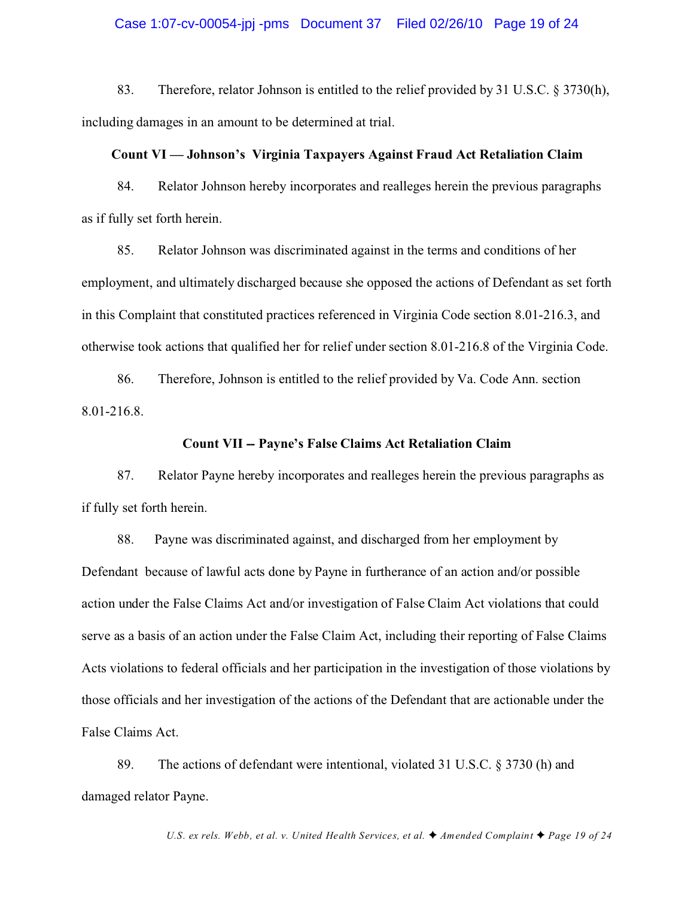#### Case 1:07-cv-00054-jpj -pms Document 37 Filed 02/26/10 Page 19 of 24

83. Therefore, relator Johnson is entitled to the relief provided by 31 U.S.C. § 3730(h), including damages in an amount to be determined at trial.

#### **Count VI — Johnson's Virginia Taxpayers Against Fraud Act Retaliation Claim**

84. Relator Johnson hereby incorporates and realleges herein the previous paragraphs as if fully set forth herein.

85. Relator Johnson was discriminated against in the terms and conditions of her employment, and ultimately discharged because she opposed the actions of Defendant as set forth in this Complaint that constituted practices referenced in Virginia Code section 8.01-216.3, and otherwise took actions that qualified her for relief under section 8.01-216.8 of the Virginia Code.

86. Therefore, Johnson is entitled to the relief provided by Va. Code Ann. section 8.01-216.8.

## **Count VII -- Payne's False Claims Act Retaliation Claim**

87. Relator Payne hereby incorporates and realleges herein the previous paragraphs as if fully set forth herein.

88. Payne was discriminated against, and discharged from her employment by Defendant because of lawful acts done by Payne in furtherance of an action and/or possible action under the False Claims Act and/or investigation of False Claim Act violations that could serve as a basis of an action under the False Claim Act, including their reporting of False Claims Acts violations to federal officials and her participation in the investigation of those violations by those officials and her investigation of the actions of the Defendant that are actionable under the False Claims Act.

89. The actions of defendant were intentional, violated 31 U.S.C. § 3730 (h) and damaged relator Payne.

*U.S. ex rels. Webb, et al. v. United Health Services, et al.*  $\blacklozenge$  *Amended Complaint*  $\blacklozenge$  *Page 19 of 24*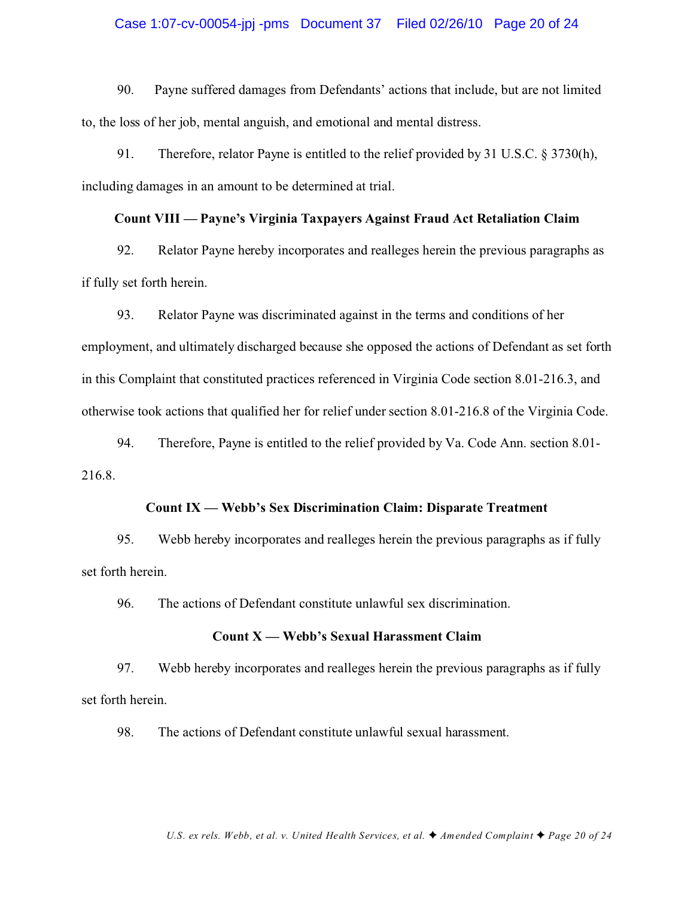#### Case 1:07-cv-00054-jpj -pms Document 37 Filed 02/26/10 Page 20 of 24

90. Payne suffered damages from Defendants' actions that include, but are not limited to, the loss of her job, mental anguish, and emotional and mental distress.

91. Therefore, relator Payne is entitled to the relief provided by 31 U.S.C. § 3730(h), including damages in an amount to be determined at trial.

#### **Count VIII — Payne's Virginia Taxpayers Against Fraud Act Retaliation Claim**

92. Relator Payne hereby incorporates and realleges herein the previous paragraphs as if fully set forth herein.

93. Relator Payne was discriminated against in the terms and conditions of her employment, and ultimately discharged because she opposed the actions of Defendant as set forth in this Complaint that constituted practices referenced in Virginia Code section 8.01-216.3, and otherwise took actions that qualified her for relief under section 8.01-216.8 of the Virginia Code.

94. Therefore, Payne is entitled to the relief provided by Va. Code Ann. section 8.01- 216.8.

## **Count IX — Webb's Sex Discrimination Claim: Disparate Treatment**

95. Webb hereby incorporates and realleges herein the previous paragraphs as if fully set forth herein.

96. The actions of Defendant constitute unlawful sex discrimination.

### **Count X — Webb's Sexual Harassment Claim**

97. Webb hereby incorporates and realleges herein the previous paragraphs as if fully set forth herein.

98. The actions of Defendant constitute unlawful sexual harassment.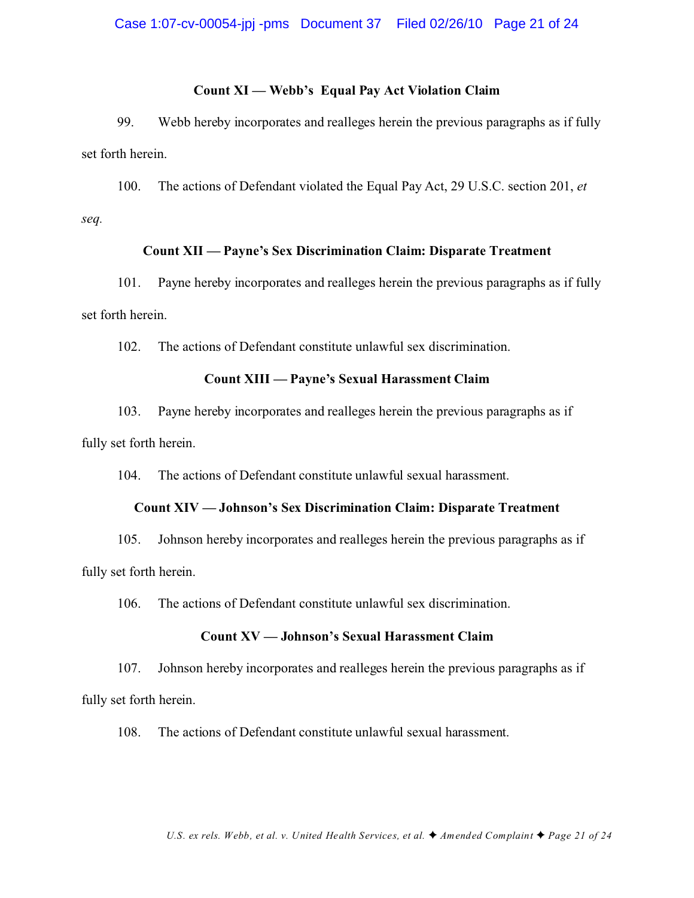#### **Count XI — Webb's Equal Pay Act Violation Claim**

99. Webb hereby incorporates and realleges herein the previous paragraphs as if fully set forth herein.

100. The actions of Defendant violated the Equal Pay Act, 29 U.S.C. section 201, *et seq.*

#### **Count XII — Payne's Sex Discrimination Claim: Disparate Treatment**

101. Payne hereby incorporates and realleges herein the previous paragraphs as if fully set forth herein.

102. The actions of Defendant constitute unlawful sex discrimination.

## **Count XIII — Payne's Sexual Harassment Claim**

103. Payne hereby incorporates and realleges herein the previous paragraphs as if fully set forth herein.

104. The actions of Defendant constitute unlawful sexual harassment.

#### **Count XIV — Johnson's Sex Discrimination Claim: Disparate Treatment**

105. Johnson hereby incorporates and realleges herein the previous paragraphs as if fully set forth herein.

106. The actions of Defendant constitute unlawful sex discrimination.

## **Count XV — Johnson's Sexual Harassment Claim**

107. Johnson hereby incorporates and realleges herein the previous paragraphs as if fully set forth herein.

108. The actions of Defendant constitute unlawful sexual harassment.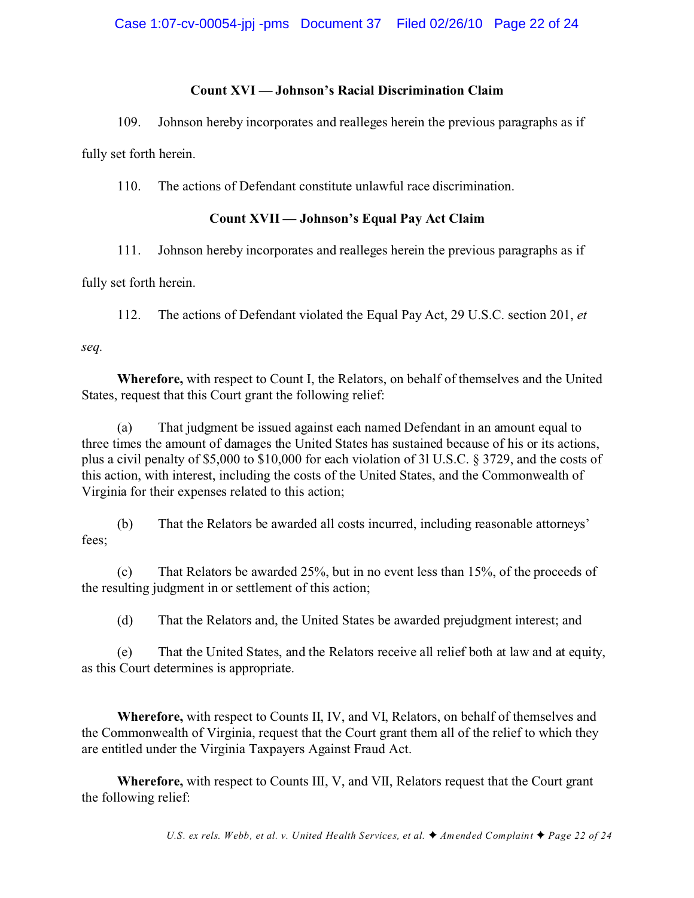# **Count XVI — Johnson's Racial Discrimination Claim**

109. Johnson hereby incorporates and realleges herein the previous paragraphs as if

fully set forth herein.

110. The actions of Defendant constitute unlawful race discrimination.

# **Count XVII — Johnson's Equal Pay Act Claim**

# 111. Johnson hereby incorporates and realleges herein the previous paragraphs as if

fully set forth herein.

112. The actions of Defendant violated the Equal Pay Act, 29 U.S.C. section 201, *et*

*seq.*

**Wherefore,** with respect to Count I, the Relators, on behalf of themselves and the United States, request that this Court grant the following relief:

(a) That judgment be issued against each named Defendant in an amount equal to three times the amount of damages the United States has sustained because of his or its actions, plus a civil penalty of \$5,000 to \$10,000 for each violation of 3l U.S.C. § 3729, and the costs of this action, with interest, including the costs of the United States, and the Commonwealth of Virginia for their expenses related to this action;

(b) That the Relators be awarded all costs incurred, including reasonable attorneys' fees;

(c) That Relators be awarded 25%, but in no event less than 15%, of the proceeds of the resulting judgment in or settlement of this action;

(d) That the Relators and, the United States be awarded prejudgment interest; and

(e) That the United States, and the Relators receive all relief both at law and at equity, as this Court determines is appropriate.

**Wherefore,** with respect to Counts II, IV, and VI, Relators, on behalf of themselves and the Commonwealth of Virginia, request that the Court grant them all of the relief to which they are entitled under the Virginia Taxpayers Against Fraud Act.

**Wherefore,** with respect to Counts III, V, and VII, Relators request that the Court grant the following relief: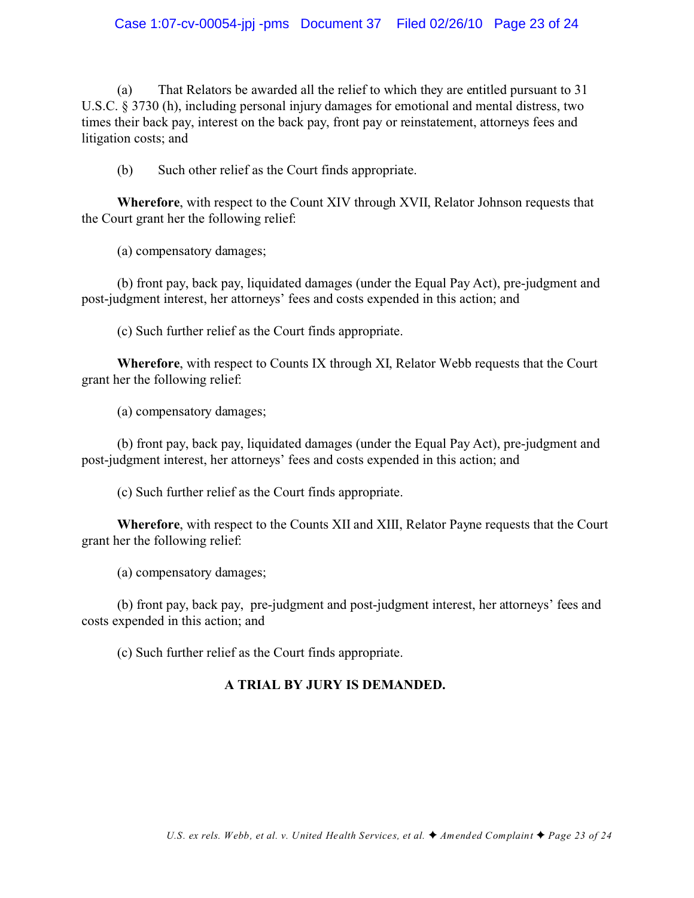# Case 1:07-cv-00054-jpj -pms Document 37 Filed 02/26/10 Page 23 of 24

(a) That Relators be awarded all the relief to which they are entitled pursuant to 31 U.S.C. § 3730 (h), including personal injury damages for emotional and mental distress, two times their back pay, interest on the back pay, front pay or reinstatement, attorneys fees and litigation costs; and

(b) Such other relief as the Court finds appropriate.

**Wherefore**, with respect to the Count XIV through XVII, Relator Johnson requests that the Court grant her the following relief:

(a) compensatory damages;

(b) front pay, back pay, liquidated damages (under the Equal Pay Act), pre-judgment and post-judgment interest, her attorneys' fees and costs expended in this action; and

(c) Such further relief as the Court finds appropriate.

**Wherefore**, with respect to Counts IX through XI, Relator Webb requests that the Court grant her the following relief:

(a) compensatory damages;

(b) front pay, back pay, liquidated damages (under the Equal Pay Act), pre-judgment and post-judgment interest, her attorneys' fees and costs expended in this action; and

(c) Such further relief as the Court finds appropriate.

**Wherefore**, with respect to the Counts XII and XIII, Relator Payne requests that the Court grant her the following relief:

(a) compensatory damages;

(b) front pay, back pay, pre-judgment and post-judgment interest, her attorneys' fees and costs expended in this action; and

(c) Such further relief as the Court finds appropriate.

## **A TRIAL BY JURY IS DEMANDED.**